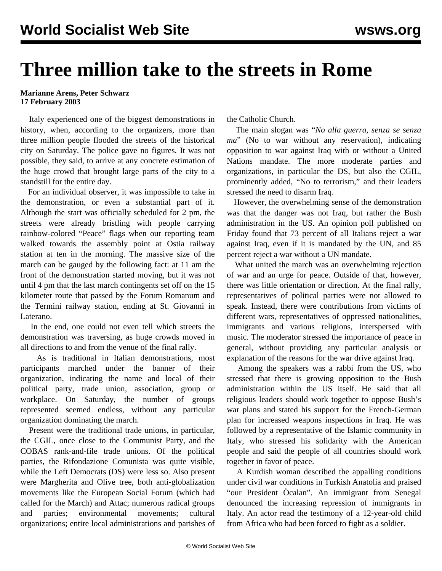## **Three million take to the streets in Rome**

## **Marianne Arens, Peter Schwarz 17 February 2003**

 Italy experienced one of the biggest demonstrations in history, when, according to the organizers, more than three million people flooded the streets of the historical city on Saturday. The police gave no figures. It was not possible, they said, to arrive at any concrete estimation of the huge crowd that brought large parts of the city to a standstill for the entire day.

 For an individual observer, it was impossible to take in the demonstration, or even a substantial part of it. Although the start was officially scheduled for 2 pm, the streets were already bristling with people carrying rainbow-colored "Peace" flags when our reporting team walked towards the assembly point at Ostia railway station at ten in the morning. The massive size of the march can be gauged by the following fact: at 11 am the front of the demonstration started moving, but it was not until 4 pm that the last march contingents set off on the 15 kilometer route that passed by the Forum Romanum and the Termini railway station, ending at St. Giovanni in Laterano.

 In the end, one could not even tell which streets the demonstration was traversing, as huge crowds moved in all directions to and from the venue of the final rally.

 As is traditional in Italian demonstrations, most participants marched under the banner of their organization, indicating the name and local of their political party, trade union, association, group or workplace. On Saturday, the number of groups represented seemed endless, without any particular organization dominating the march.

 Present were the traditional trade unions, in particular, the CGIL, once close to the Communist Party, and the COBAS rank-and-file trade unions. Of the political parties, the Rifondazione Comunista was quite visible, while the Left Democrats (DS) were less so. Also present were Margherita and Olive tree, both anti-globalization movements like the European Social Forum (which had called for the March) and Attac; numerous radical groups and parties; environmental movements; cultural organizations; entire local administrations and parishes of

the Catholic Church.

 The main slogan was "*No alla guerra, senza se senza ma*" (No to war without any reservation), indicating opposition to war against Iraq with or without a United Nations mandate. The more moderate parties and organizations, in particular the DS, but also the CGIL, prominently added, "No to terrorism," and their leaders stressed the need to disarm Iraq.

 However, the overwhelming sense of the demonstration was that the danger was not Iraq, but rather the Bush administration in the US. An opinion poll published on Friday found that 73 percent of all Italians reject a war against Iraq, even if it is mandated by the UN, and 85 percent reject a war without a UN mandate.

 What united the march was an overwhelming rejection of war and an urge for peace. Outside of that, however, there was little orientation or direction. At the final rally, representatives of political parties were not allowed to speak. Instead, there were contributions from victims of different wars, representatives of oppressed nationalities, immigrants and various religions, interspersed with music. The moderator stressed the importance of peace in general, without providing any particular analysis or explanation of the reasons for the war drive against Iraq.

 Among the speakers was a rabbi from the US, who stressed that there is growing opposition to the Bush administration within the US itself. He said that all religious leaders should work together to oppose Bush's war plans and stated his support for the French-German plan for increased weapons inspections in Iraq. He was followed by a representative of the Islamic community in Italy, who stressed his solidarity with the American people and said the people of all countries should work together in favor of peace.

 A Kurdish woman described the appalling conditions under civil war conditions in Turkish Anatolia and praised "our President Öcalan". An immigrant from Senegal denounced the increasing repression of immigrants in Italy. An actor read the testimony of a 12-year-old child from Africa who had been forced to fight as a soldier.